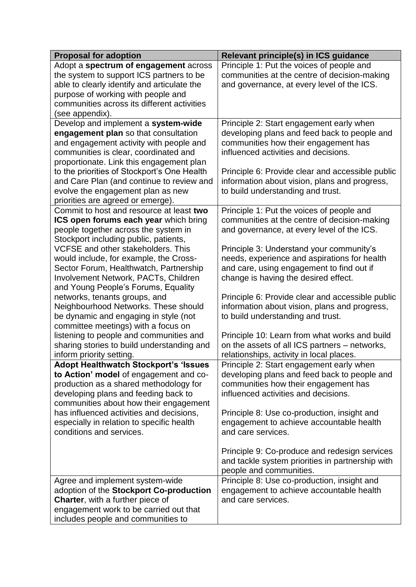| <b>Proposal for adoption</b>                                                  | <b>Relevant principle(s) in ICS guidance</b>     |
|-------------------------------------------------------------------------------|--------------------------------------------------|
| Adopt a spectrum of engagement across                                         | Principle 1: Put the voices of people and        |
| the system to support ICS partners to be                                      | communities at the centre of decision-making     |
| able to clearly identify and articulate the                                   | and governance, at every level of the ICS.       |
| purpose of working with people and                                            |                                                  |
| communities across its different activities                                   |                                                  |
| (see appendix).                                                               |                                                  |
| Develop and implement a system-wide                                           | Principle 2: Start engagement early when         |
| engagement plan so that consultation                                          | developing plans and feed back to people and     |
| and engagement activity with people and                                       | communities how their engagement has             |
| communities is clear, coordinated and                                         | influenced activities and decisions.             |
| proportionate. Link this engagement plan                                      |                                                  |
| to the priorities of Stockport's One Health                                   | Principle 6: Provide clear and accessible public |
| and Care Plan (and continue to review and                                     | information about vision, plans and progress,    |
| evolve the engagement plan as new                                             | to build understanding and trust.                |
| priorities are agreed or emerge).                                             |                                                  |
| Commit to host and resource at least two                                      | Principle 1: Put the voices of people and        |
| ICS open forums each year which bring                                         | communities at the centre of decision-making     |
| people together across the system in<br>Stockport including public, patients, | and governance, at every level of the ICS.       |
| VCFSE and other stakeholders. This                                            | Principle 3: Understand your community's         |
| would include, for example, the Cross-                                        | needs, experience and aspirations for health     |
| Sector Forum, Healthwatch, Partnership                                        | and care, using engagement to find out if        |
| Involvement Network, PACTs, Children                                          | change is having the desired effect.             |
| and Young People's Forums, Equality                                           |                                                  |
| networks, tenants groups, and                                                 | Principle 6: Provide clear and accessible public |
| Neighbourhood Networks. These should                                          | information about vision, plans and progress,    |
| be dynamic and engaging in style (not                                         | to build understanding and trust.                |
| committee meetings) with a focus on                                           |                                                  |
| listening to people and communities and                                       | Principle 10: Learn from what works and build    |
| sharing stories to build understanding and                                    | on the assets of all ICS partners - networks,    |
| inform priority setting.                                                      | relationships, activity in local places.         |
| <b>Adopt Healthwatch Stockport's 'Issues</b>                                  | Principle 2: Start engagement early when         |
| to Action' model of engagement and co-                                        | developing plans and feed back to people and     |
| production as a shared methodology for                                        | communities how their engagement has             |
| developing plans and feeding back to                                          | influenced activities and decisions.             |
| communities about how their engagement                                        |                                                  |
| has influenced activities and decisions,                                      | Principle 8: Use co-production, insight and      |
| especially in relation to specific health                                     | engagement to achieve accountable health         |
| conditions and services.                                                      | and care services.                               |
|                                                                               |                                                  |
|                                                                               | Principle 9: Co-produce and redesign services    |
|                                                                               | and tackle system priorities in partnership with |
|                                                                               | people and communities.                          |
| Agree and implement system-wide                                               | Principle 8: Use co-production, insight and      |
| adoption of the Stockport Co-production                                       | engagement to achieve accountable health         |
| Charter, with a further piece of                                              | and care services.                               |
| engagement work to be carried out that                                        |                                                  |
| includes people and communities to                                            |                                                  |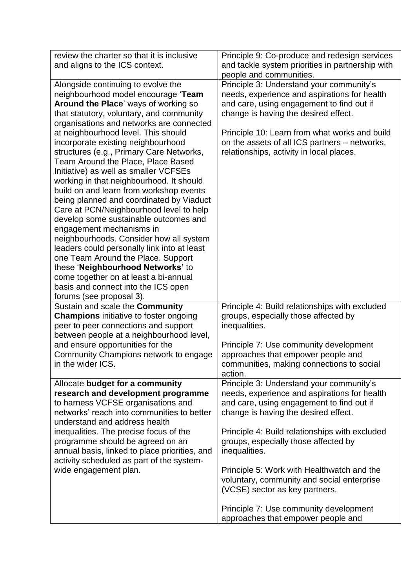| review the charter so that it is inclusive<br>and aligns to the ICS context.                                                                                                                                                                                                                                                                                                                                                                                                                                                                                                                                                                                                                                                                                                                                                                                                                                                                          | Principle 9: Co-produce and redesign services<br>and tackle system priorities in partnership with<br>people and communities.                                                                                                                                                                                                                                                                                                                                                                           |
|-------------------------------------------------------------------------------------------------------------------------------------------------------------------------------------------------------------------------------------------------------------------------------------------------------------------------------------------------------------------------------------------------------------------------------------------------------------------------------------------------------------------------------------------------------------------------------------------------------------------------------------------------------------------------------------------------------------------------------------------------------------------------------------------------------------------------------------------------------------------------------------------------------------------------------------------------------|--------------------------------------------------------------------------------------------------------------------------------------------------------------------------------------------------------------------------------------------------------------------------------------------------------------------------------------------------------------------------------------------------------------------------------------------------------------------------------------------------------|
| Alongside continuing to evolve the<br>neighbourhood model encourage 'Team<br>Around the Place' ways of working so<br>that statutory, voluntary, and community<br>organisations and networks are connected<br>at neighbourhood level. This should<br>incorporate existing neighbourhood<br>structures (e.g., Primary Care Networks,<br>Team Around the Place, Place Based<br>Initiative) as well as smaller VCFSEs<br>working in that neighbourhood. It should<br>build on and learn from workshop events<br>being planned and coordinated by Viaduct<br>Care at PCN/Neighbourhood level to help<br>develop some sustainable outcomes and<br>engagement mechanisms in<br>neighbourhoods. Consider how all system<br>leaders could personally link into at least<br>one Team Around the Place. Support<br>these 'Neighbourhood Networks' to<br>come together on at least a bi-annual<br>basis and connect into the ICS open<br>forums (see proposal 3). | Principle 3: Understand your community's<br>needs, experience and aspirations for health<br>and care, using engagement to find out if<br>change is having the desired effect.<br>Principle 10: Learn from what works and build<br>on the assets of all ICS partners - networks,<br>relationships, activity in local places.                                                                                                                                                                            |
| Sustain and scale the Community<br>Champions initiative to foster ongoing<br>peer to peer connections and support<br>between people at a neighbourhood level,<br>and ensure opportunities for the<br>Community Champions network to engage<br>in the wider ICS.                                                                                                                                                                                                                                                                                                                                                                                                                                                                                                                                                                                                                                                                                       | Principle 4: Build relationships with excluded<br>groups, especially those affected by<br>inequalities.<br>Principle 7: Use community development<br>approaches that empower people and<br>communities, making connections to social<br>action.                                                                                                                                                                                                                                                        |
| Allocate budget for a community<br>research and development programme<br>to harness VCFSE organisations and<br>networks' reach into communities to better<br>understand and address health<br>inequalities. The precise focus of the<br>programme should be agreed on an<br>annual basis, linked to place priorities, and<br>activity scheduled as part of the system-<br>wide engagement plan.                                                                                                                                                                                                                                                                                                                                                                                                                                                                                                                                                       | Principle 3: Understand your community's<br>needs, experience and aspirations for health<br>and care, using engagement to find out if<br>change is having the desired effect.<br>Principle 4: Build relationships with excluded<br>groups, especially those affected by<br>inequalities.<br>Principle 5: Work with Healthwatch and the<br>voluntary, community and social enterprise<br>(VCSE) sector as key partners.<br>Principle 7: Use community development<br>approaches that empower people and |